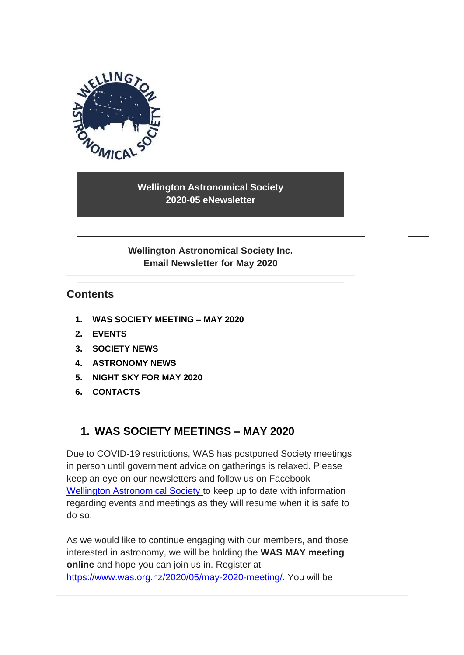

**Wellington Astronomical Society 2020-05 eNewsletter**

**Wellington Astronomical Society Inc. Email Newsletter for May 2020**

## **Contents**

- **1. [WAS SOCIETY MEETING –](#page-0-0) MAY 2020**
- **2. [EVENTS](#page-2-0)**
- **3. [SOCIETY NEWS](#page-2-1)**
- **4. [ASTRONOMY NEWS](#page-5-0)**
- **5. [NIGHT SKY FOR](#page-6-0) MAY 2020**
- <span id="page-0-0"></span>**6. [CONTACTS](#page-10-0)**

## **1. WAS SOCIETY MEETINGS – MAY 2020**

Due to COVID-19 restrictions, WAS has postponed Society meetings in person until government advice on gatherings is relaxed. Please keep an eye on our newsletters and follow us on Facebook [Wellington Astronomical Society](http://www.facebook.com/WellingtonAstronomicalSociety/) to keep up to date with information regarding events and meetings as they will resume when it is safe to do so.

As we would like to continue engaging with our members, and those interested in astronomy, we will be holding the **WAS MAY meeting online** and hope you can join us in. Register at [https://www.was.org.nz/2020/05/may-2020-meeting/.](https://www.was.org.nz/2020/05/may-2020-meeting/) You will be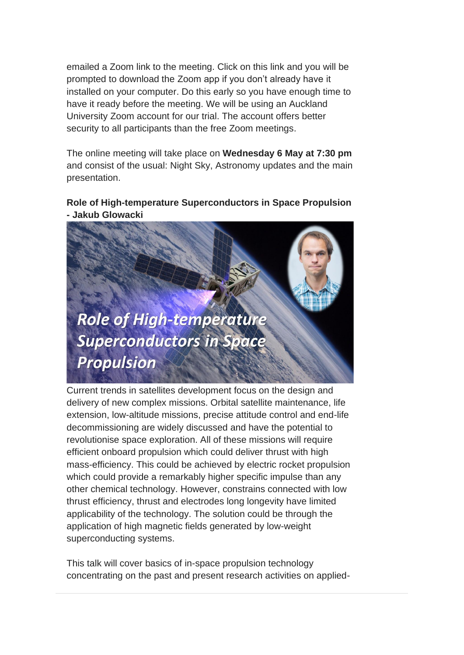emailed a Zoom link to the meeting. Click on this link and you will be prompted to download the Zoom app if you don't already have it installed on your computer. Do this early so you have enough time to have it ready before the meeting. We will be using an Auckland University Zoom account for our trial. The account offers better security to all participants than the free Zoom meetings.

The online meeting will take place on **Wednesday 6 May at 7:30 pm** and consist of the usual: Night Sky, Astronomy updates and the main presentation.

**Role of High-temperature Superconductors in Space Propulsion - Jakub Glowacki**

**Role of High-temperature Superconductors in Space Propulsion** 

Current trends in satellites development focus on the design and delivery of new complex missions. Orbital satellite maintenance, life extension, low-altitude missions, precise attitude control and end-life decommissioning are widely discussed and have the potential to revolutionise space exploration. All of these missions will require efficient onboard propulsion which could deliver thrust with high mass-efficiency. This could be achieved by electric rocket propulsion which could provide a remarkably higher specific impulse than any other chemical technology. However, constrains connected with low thrust efficiency, thrust and electrodes long longevity have limited applicability of the technology. The solution could be through the application of high magnetic fields generated by low-weight superconducting systems.

This talk will cover basics of in-space propulsion technology concentrating on the past and present research activities on applied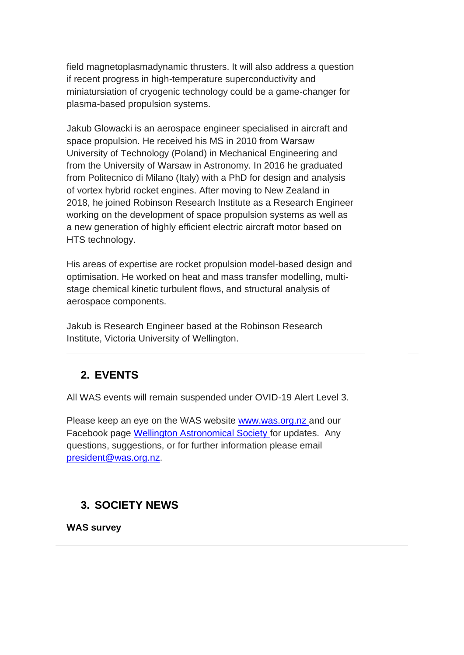field magnetoplasmadynamic thrusters. It will also address a question if recent progress in high-temperature superconductivity and miniatursiation of cryogenic technology could be a game-changer for plasma-based propulsion systems.

Jakub Glowacki is an aerospace engineer specialised in aircraft and space propulsion. He received his MS in 2010 from Warsaw University of Technology (Poland) in Mechanical Engineering and from the University of Warsaw in Astronomy. In 2016 he graduated from Politecnico di Milano (Italy) with a PhD for design and analysis of vortex hybrid rocket engines. After moving to New Zealand in 2018, he joined Robinson Research Institute as a Research Engineer working on the development of space propulsion systems as well as a new generation of highly efficient electric aircraft motor based on HTS technology.

His areas of expertise are rocket propulsion model-based design and optimisation. He worked on heat and mass transfer modelling, multistage chemical kinetic turbulent flows, and structural analysis of aerospace components.

Jakub is Research Engineer based at the Robinson Research Institute, Victoria University of Wellington.

# <span id="page-2-0"></span>**2. EVENTS**

All WAS events will remain suspended under OVID-19 Alert Level 3.

Please keep an eye on the WAS website [www.was.org.nz](http://www.was.org.nz/) and our Facebook page [Wellington Astronomical Society](http://www.facebook.com/WellingtonAstronomicalSociety/) for updates. Any questions, suggestions, or for further information please email [president@was.org.nz.](mailto:president@was.org.nz)

# <span id="page-2-1"></span>**3. SOCIETY NEWS**

**WAS survey**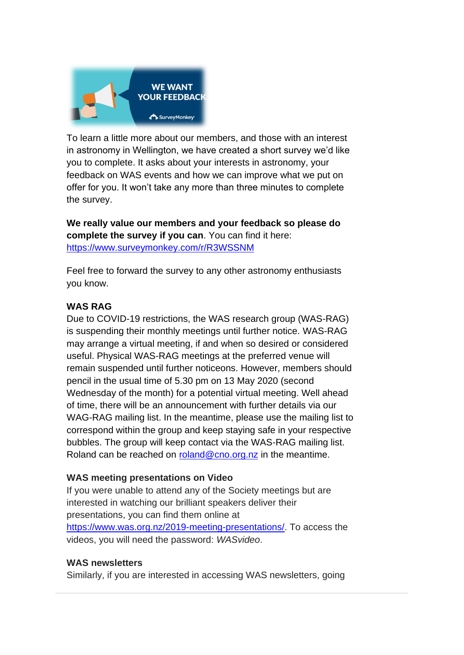

To learn a little more about our members, and those with an interest in astronomy in Wellington, we have created a short survey we'd like you to complete. It asks about your interests in astronomy, your feedback on WAS events and how we can improve what we put on offer for you. It won't take any more than three minutes to complete the survey.

**We really value our members and your feedback so please do complete the survey if you can**. You can find it here: <https://www.surveymonkey.com/r/R3WSSNM>

Feel free to forward the survey to any other astronomy enthusiasts you know.

#### **WAS RAG**

Due to COVID-19 restrictions, the WAS research group (WAS-RAG) is suspending their monthly meetings until further notice. WAS-RAG may arrange a virtual meeting, if and when so desired or considered useful. Physical WAS-RAG meetings at the preferred venue will remain suspended until further noticeons. However, members should pencil in the usual time of 5.30 pm on 13 May 2020 (second Wednesday of the month) for a potential virtual meeting. Well ahead of time, there will be an announcement with further details via our WAG-RAG mailing list. In the meantime, please use the mailing list to correspond within the group and keep staying safe in your respective bubbles. The group will keep contact via the WAS-RAG mailing list. Roland can be reached on [roland@cno.org.nz](mailto:roland@cno.org.nz) in the meantime.

#### **WAS meeting presentations on Video**

If you were unable to attend any of the Society meetings but are interested in watching our brilliant speakers deliver their presentations, you can find them online at [https://www.was.org.nz/2019-meeting-presentations/.](https://www.was.org.nz/2019-meeting-presentations/) To access the videos, you will need the password: *WASvideo*.

#### **WAS newsletters**

Similarly, if you are interested in accessing WAS newsletters, going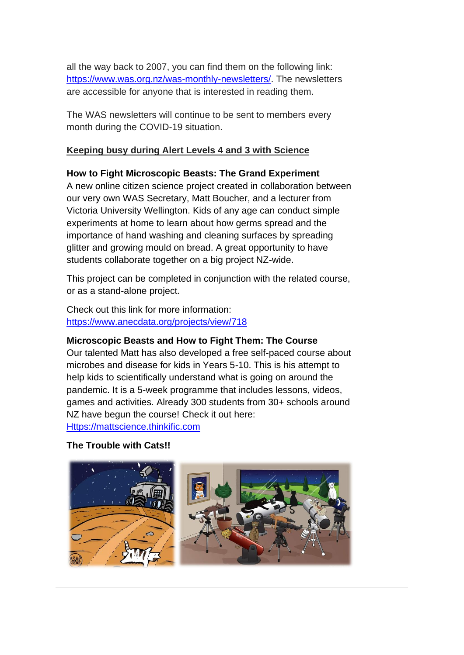all the way back to 2007, you can find them on the following link: [https://www.was.org.nz/was-monthly-newsletters/.](https://www.was.org.nz/was-monthly-newsletters/) The newsletters are accessible for anyone that is interested in reading them.

The WAS newsletters will continue to be sent to members every month during the COVID-19 situation.

#### **Keeping busy during Alert Levels 4 and 3 with Science**

#### **How to Fight Microscopic Beasts: The Grand Experiment**

A new online citizen science project created in collaboration between our very own WAS Secretary, Matt Boucher, and a lecturer from Victoria University Wellington. Kids of any age can conduct simple experiments at home to learn about how germs spread and the importance of hand washing and cleaning surfaces by spreading glitter and growing mould on bread. A great opportunity to have students collaborate together on a big project NZ-wide.

This project can be completed in conjunction with the related course, or as a stand-alone project.

Check out this link for more information: <https://www.anecdata.org/projects/view/718>

#### **Microscopic Beasts and How to Fight Them: The Course**

Our talented Matt has also developed a free self-paced course about microbes and disease for kids in Years 5-10. This is his attempt to help kids to scientifically understand what is going on around the pandemic. It is a 5-week programme that includes lessons, videos, games and activities. Already 300 students from 30+ schools around NZ have begun the course! Check it out here: [Https://mattscience.thinkific.com](https://mattscience.thinkific.com/)

#### **The Trouble with Cats!!**

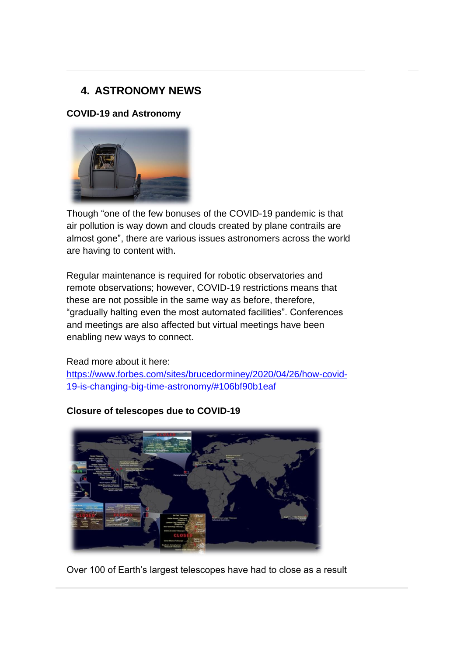# <span id="page-5-0"></span>**4. ASTRONOMY NEWS**

#### **COVID-19 and Astronomy**



Though "one of the few bonuses of the COVID-19 pandemic is that air pollution is way down and clouds created by plane contrails are almost gone", there are various issues astronomers across the world are having to content with.

Regular maintenance is required for robotic observatories and remote observations; however, COVID-19 restrictions means that these are not possible in the same way as before, therefore, "gradually halting even the most automated facilities". Conferences and meetings are also affected but virtual meetings have been enabling new ways to connect.

Read more about it here: [https://www.forbes.com/sites/brucedorminey/2020/04/26/how-covid-](https://www.forbes.com/sites/brucedorminey/2020/04/26/how-covid-19-is-changing-big-time-astronomy/#106bf90b1eaf)[19-is-changing-big-time-astronomy/#106bf90b1eaf](https://www.forbes.com/sites/brucedorminey/2020/04/26/how-covid-19-is-changing-big-time-astronomy/#106bf90b1eaf)



**Closure of telescopes due to COVID-19**

Over 100 of Earth's largest telescopes have had to close as a result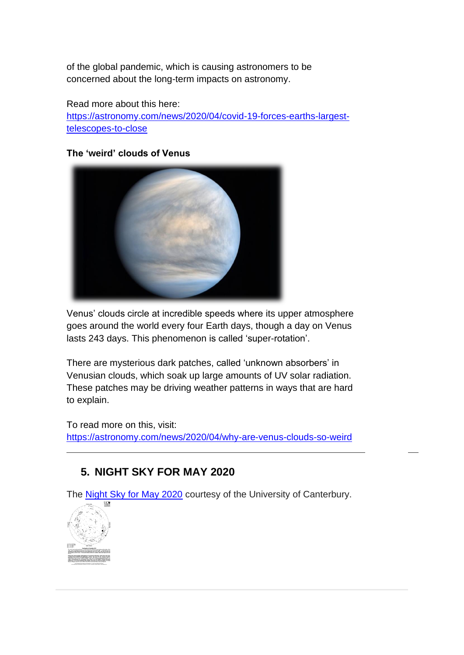of the global pandemic, which is causing astronomers to be concerned about the long-term impacts on astronomy.

Read more about this here: [https://astronomy.com/news/2020/04/covid-19-forces-earths-largest](https://astronomy.com/news/2020/04/covid-19-forces-earths-largest-telescopes-to-close)[telescopes-to-close](https://astronomy.com/news/2020/04/covid-19-forces-earths-largest-telescopes-to-close)

#### **The 'weird' clouds of Venus**



Venus' clouds circle at incredible speeds where its upper atmosphere goes around the world every four Earth days, though a day on Venus lasts 243 days. This phenomenon is called 'super-rotation'.

There are mysterious dark patches, called 'unknown absorbers' in Venusian clouds, which soak up large amounts of UV solar radiation. These patches may be driving weather patterns in ways that are hard to explain.

To read more on this, visit: <https://astronomy.com/news/2020/04/why-are-venus-clouds-so-weird>

# <span id="page-6-0"></span>**5. NIGHT SKY FOR MAY 2020**

The [Night Sky for May 2020](https://drive.google.com/open?id=1PYJmIAeJi-HLbPs-Jq1vp9BQ7MMvp4lO) courtesy of the University of Canterbury.

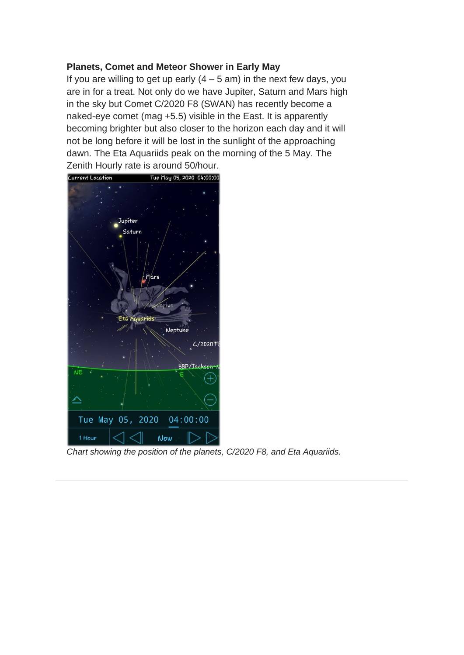#### **Planets, Comet and Meteor Shower in Early May**

If you are willing to get up early  $(4 - 5$  am) in the next few days, you are in for a treat. Not only do we have Jupiter, Saturn and Mars high in the sky but Comet C/2020 F8 (SWAN) has recently become a naked-eye comet (mag +5.5) visible in the East. It is apparently becoming brighter but also closer to the horizon each day and it will not be long before it will be lost in the sunlight of the approaching dawn. The Eta Aquariids peak on the morning of the 5 May. The Zenith Hourly rate is around 50/hour.



*Chart showing the position of the planets, C/2020 F8, and Eta Aquariids.*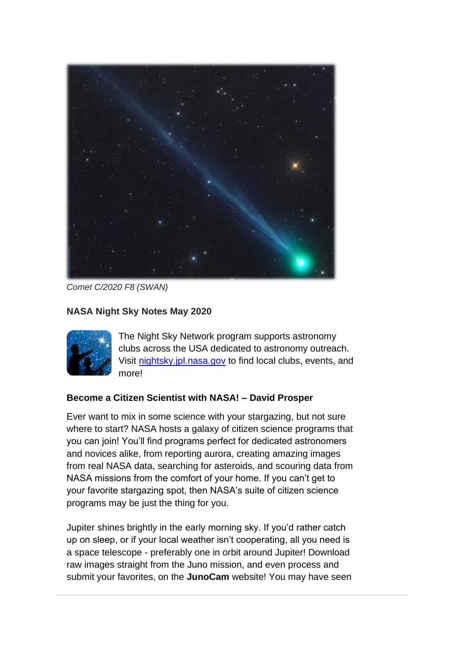

*Comet C/2020 F8 (SWAN)*

## **NASA Night Sky Notes May 2020**



The Night Sky Network program supports astronomy clubs across the USA dedicated to astronomy outreach. Visit [nightsky.jpl.nasa.gov](https://nightsky.jpl.nasa.gov/) to find local clubs, events, and more!

## **Become a Citizen Scientist with NASA! – David Prosper**

Ever want to mix in some science with your stargazing, but not sure where to start? NASA hosts a galaxy of citizen science programs that you can join! You'll find programs perfect for dedicated astronomers and novices alike, from reporting aurora, creating amazing images from real NASA data, searching for asteroids, and scouring data from NASA missions from the comfort of your home. If you can't get to your favorite stargazing spot, then NASA's suite of citizen science programs may be just the thing for you.

Jupiter shines brightly in the early morning sky. If you'd rather catch up on sleep, or if your local weather isn't cooperating, all you need is a space telescope - preferably one in orbit around Jupiter! Download raw images straight from the Juno mission, and even process and submit your favorites, on the **JunoCam** website! You may have seen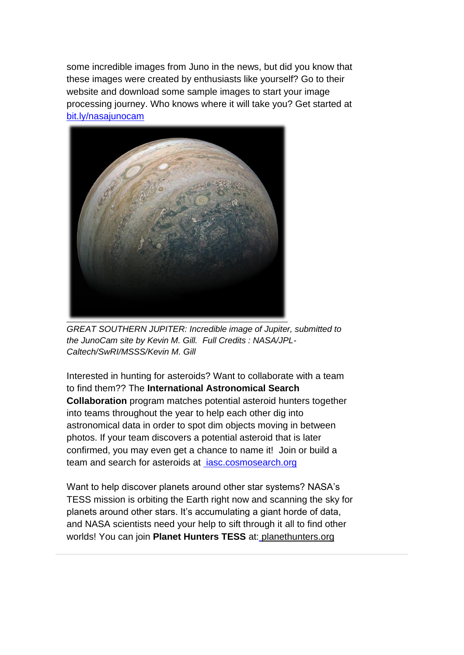some incredible images from Juno in the news, but did you know that these images were created by enthusiasts like yourself? Go to their website and download some sample images to start your image processing journey. Who knows where it will take you? Get started a[t](https://www.missionjuno.swri.edu/junocam) <bit.ly/nasajunocam>



*GREAT SOUTHERN JUPITER: Incredible image of Jupiter, submitted to the JunoCam site by Kevin M. Gill. Full Credits : NASA/JPL-Caltech/SwRI/MSSS/Kevin M. Gill*

Interested in hunting for asteroids? Want to collaborate with a team to find them?? The **International Astronomical Search Collaboration** program matches potential asteroid hunters together into teams throughout the year to help each other dig into astronomical data in order to spot dim objects moving in between photos. If your team discovers a potential asteroid that is later confirmed, you may even get a chance to name it! Join or build a team and search for asteroids at *iasc.cosmosearch.org* 

Want to help discover planets around other star systems? NASA's TESS mission is orbiting the Earth right now and scanning the sky for planets around other stars. It's accumulating a giant horde of data, and NASA scientists need your help to sift through it all to find other worlds! You can join **Planet Hunters TESS** at[:](https://www.zooniverse.org/projects/nora-dot-eisner/planet-hunters-tess) planethunters.org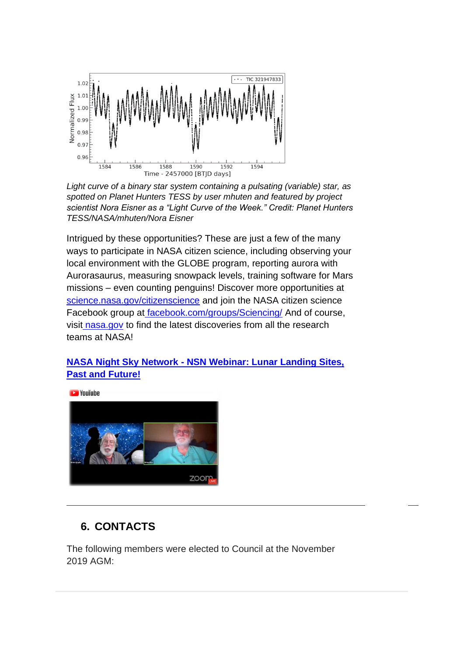

*Light curve of a binary star system containing a pulsating (variable) star, as spotted on Planet Hunters TESS by user mhuten and featured by project scientist Nora Eisner as a "Light Curve of the Week." Credit: Planet Hunters TESS/NASA/mhuten/Nora Eisner*

Intrigued by these opportunities? These are just a few of the many ways to participate in NASA citizen science, including observing your local environment with the GLOBE program, reporting aurora with Aurorasaurus, measuring snowpack levels, training software for Mars missions – even counting penguins! Discover more opportunities a[t](https://science.nasa.gov/citizenscience) [science.nasa.gov/citizenscience](https://science.nasa.gov/citizenscience) and join the NASA citizen science Facebook group at [facebook.com/groups/Sciencing/](https://www.facebook.com/groups/Sciencing/) And of course, visit [nasa.gov](https://www.nasa.gov/) to find the latest discoveries from all the research teams at NASA!

## **NASA Night Sky Network - [NSN Webinar: Lunar Landing Sites,](https://www.youtube.com/watch?v=zJDikgEgNi8&feature=em-lbcastemail)  [Past and Future!](https://www.youtube.com/watch?v=zJDikgEgNi8&feature=em-lbcastemail)**



# <span id="page-10-0"></span>**6. CONTACTS**

The following members were elected to Council at the November 2019 AGM: